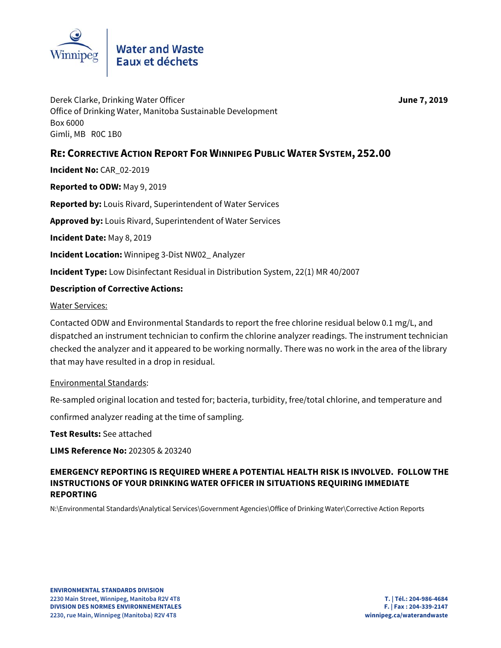

June 7, 2019

Derek Clarke, Drinking Water Officer Office of Drinking Water, Manitoba Sustainable Development Box 6000 Gimli, MB ROC 1B0

# RE: CORRECTIVE ACTION REPORT FOR WINNIPEG PUBLIC WATER SYSTEM, 252.00

Incident No: CAR 02-2019

Reported to ODW: May 9, 2019

Reported by: Louis Rivard, Superintendent of Water Services

Approved by: Louis Rivard, Superintendent of Water Services

Incident Date: May 8, 2019

**Incident Location:** Winnipeg 3-Dist NW02 Analyzer

**Incident Type:** Low Disinfectant Residual in Distribution System, 22(1) MR 40/2007

## **Description of Corrective Actions:**

**Water Services:** 

Contacted ODW and Environmental Standards to report the free chlorine residual below 0.1 mg/L, and dispatched an instrument technician to confirm the chlorine analyzer readings. The instrument technician checked the analyzer and it appeared to be working normally. There was no work in the area of the library that may have resulted in a drop in residual.

#### **Environmental Standards:**

Re-sampled original location and tested for; bacteria, turbidity, free/total chlorine, and temperature and confirmed analyzer reading at the time of sampling.

Test Results: See attached

LIMS Reference No: 202305 & 203240

# EMERGENCY REPORTING IS REQUIRED WHERE A POTENTIAL HEALTH RISK IS INVOLVED. FOLLOW THE INSTRUCTIONS OF YOUR DRINKING WATER OFFICER IN SITUATIONS REQUIRING IMMEDIATE **REPORTING**

N:\Environmental Standards\Analytical Services\Government Agencies\Office of Drinking Water\Corrective Action Reports